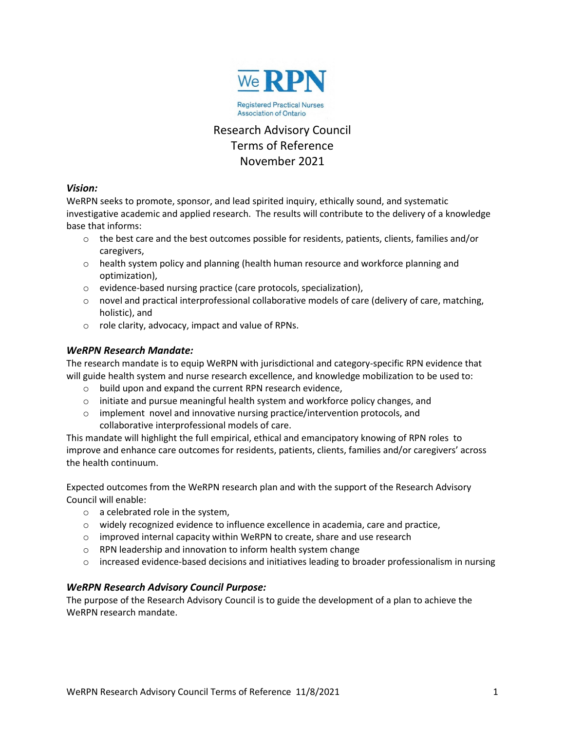

# Research Advisory Council Terms of Reference November 2021

### *Vision:*

WeRPN seeks to promote, sponsor, and lead spirited inquiry, ethically sound, and systematic investigative academic and applied research. The results will contribute to the delivery of a knowledge base that informs:

- $\circ$  the best care and the best outcomes possible for residents, patients, clients, families and/or caregivers,
- $\circ$  health system policy and planning (health human resource and workforce planning and optimization),
- o evidence-based nursing practice (care protocols, specialization),
- $\circ$  novel and practical interprofessional collaborative models of care (delivery of care, matching, holistic), and
- o role clarity, advocacy, impact and value of RPNs.

## *WeRPN Research Mandate:*

The research mandate is to equip WeRPN with jurisdictional and category-specific RPN evidence that will guide health system and nurse research excellence, and knowledge mobilization to be used to:

- o build upon and expand the current RPN research evidence,
- $\circ$  initiate and pursue meaningful health system and workforce policy changes, and
- $\circ$  implement novel and innovative nursing practice/intervention protocols, and collaborative interprofessional models of care.

This mandate will highlight the full empirical, ethical and emancipatory knowing of RPN roles to improve and enhance care outcomes for residents, patients, clients, families and/or caregivers' across the health continuum.

Expected outcomes from the WeRPN research plan and with the support of the Research Advisory Council will enable:

- o a celebrated role in the system,
- $\circ$  widely recognized evidence to influence excellence in academia, care and practice,
- $\circ$  improved internal capacity within WeRPN to create, share and use research
- o RPN leadership and innovation to inform health system change
- $\circ$  increased evidence-based decisions and initiatives leading to broader professionalism in nursing

## *WeRPN Research Advisory Council Purpose:*

The purpose of the Research Advisory Council is to guide the development of a plan to achieve the WeRPN research mandate.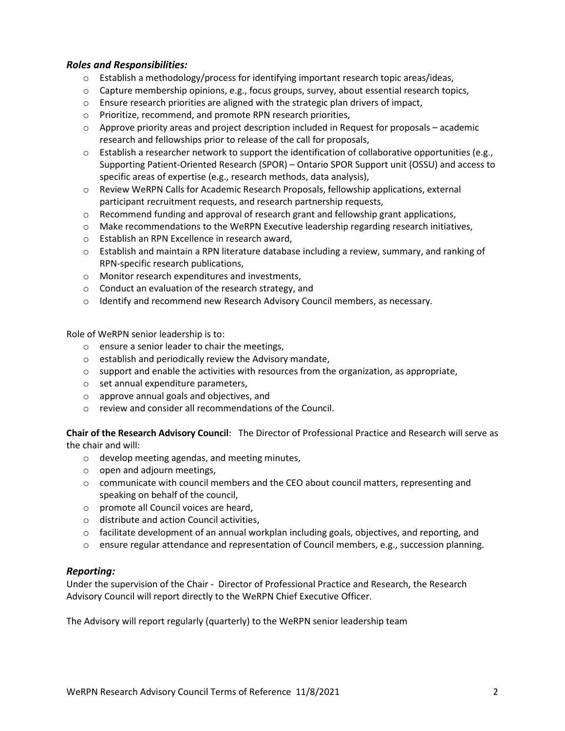#### *Roles and Responsibilities:*

- $\circ$  Establish a methodology/process for identifying important research topic areas/ideas,
- $\circ$  Capture membership opinions, e.g., focus groups, survey, about essential research topics,
- $\circ$  Ensure research priorities are aligned with the strategic plan drivers of impact,
- o Prioritize, recommend, and promote RPN research priorities,
- $\circ$  Approve priority areas and project description included in Request for proposals academic research and fellowships prior to release of the call for proposals,
- o Establish a researcher network to support the identification of collaborative opportunities (e.g., Supporting Patient-Oriented Research (SPOR) – Ontario SPOR Support unit (OSSU) and access to specific areas of expertise (e.g., research methods, data analysis),
- o Review WeRPN Calls for Academic Research Proposals, fellowship applications, external participant recruitment requests, and research partnership requests,
- $\circ$  Recommend funding and approval of research grant and fellowship grant applications,
- $\circ$  Make recommendations to the WeRPN Executive leadership regarding research initiatives,
- o Establish an RPN Excellence in research award,
- o Establish and maintain a RPN literature database including a review, summary, and ranking of RPN-specific research publications,
- o Monitor research expenditures and investments,
- o Conduct an evaluation of the research strategy, and
- $\circ$  Identify and recommend new Research Advisory Council members, as necessary.

Role of WeRPN senior leadership is to:

- o ensure a senior leader to chair the meetings,
- o establish and periodically review the Advisory mandate,
- $\circ$  support and enable the activities with resources from the organization, as appropriate,
- o set annual expenditure parameters,
- o approve annual goals and objectives, and
- o review and consider all recommendations of the Council.

**Chair of the Research Advisory Council**: The Director of Professional Practice and Research will serve as the chair and will:

- o develop meeting agendas, and meeting minutes,
- o open and adjourn meetings,
- $\circ$  communicate with council members and the CEO about council matters, representing and speaking on behalf of the council,
- o promote all Council voices are heard,
- o distribute and action Council activities,
- o facilitate development of an annual workplan including goals, objectives, and reporting, and
- $\circ$  ensure regular attendance and representation of Council members, e.g., succession planning.

#### *Reporting:*

Under the supervision of the Chair - Director of Professional Practice and Research, the Research Advisory Council will report directly to the WeRPN Chief Executive Officer.

The Advisory will report regularly (quarterly) to the WeRPN senior leadership team